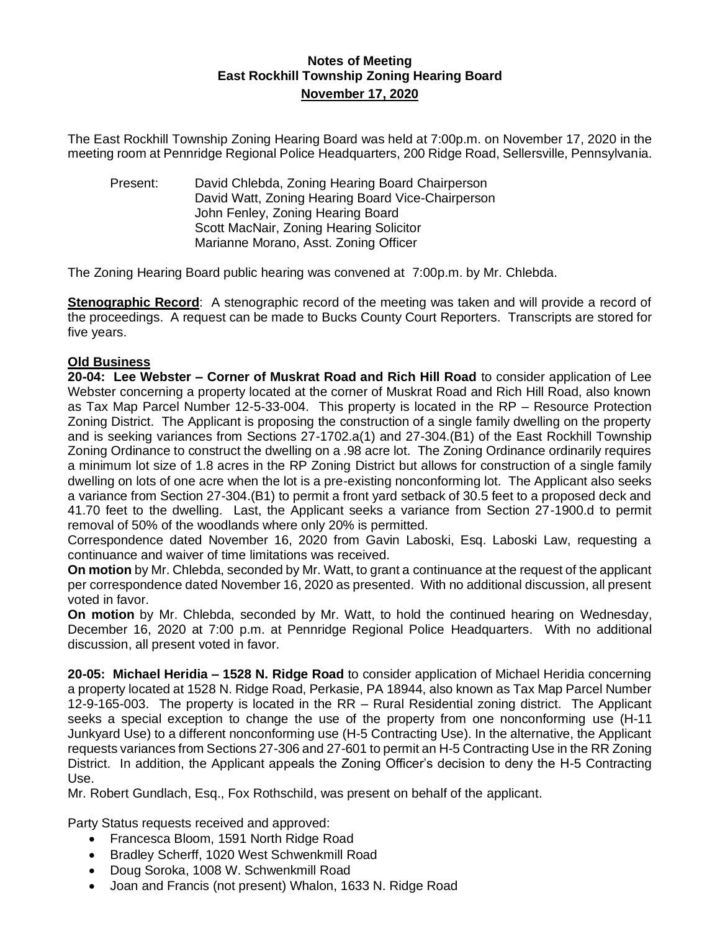## **Notes of Meeting East Rockhill Township Zoning Hearing Board November 17, 2020**

The East Rockhill Township Zoning Hearing Board was held at 7:00p.m. on November 17, 2020 in the meeting room at Pennridge Regional Police Headquarters, 200 Ridge Road, Sellersville, Pennsylvania.

Present: David Chlebda, Zoning Hearing Board Chairperson David Watt, Zoning Hearing Board Vice-Chairperson John Fenley, Zoning Hearing Board Scott MacNair, Zoning Hearing Solicitor Marianne Morano, Asst. Zoning Officer

The Zoning Hearing Board public hearing was convened at 7:00p.m. by Mr. Chlebda.

**Stenographic Record**: A stenographic record of the meeting was taken and will provide a record of the proceedings. A request can be made to Bucks County Court Reporters. Transcripts are stored for five years.

## **Old Business**

**20-04: Lee Webster – Corner of Muskrat Road and Rich Hill Road** to consider application of Lee Webster concerning a property located at the corner of Muskrat Road and Rich Hill Road, also known as Tax Map Parcel Number 12-5-33-004. This property is located in the RP – Resource Protection Zoning District. The Applicant is proposing the construction of a single family dwelling on the property and is seeking variances from Sections 27-1702.a(1) and 27-304.(B1) of the East Rockhill Township Zoning Ordinance to construct the dwelling on a .98 acre lot. The Zoning Ordinance ordinarily requires a minimum lot size of 1.8 acres in the RP Zoning District but allows for construction of a single family dwelling on lots of one acre when the lot is a pre-existing nonconforming lot. The Applicant also seeks a variance from Section 27-304.(B1) to permit a front yard setback of 30.5 feet to a proposed deck and 41.70 feet to the dwelling. Last, the Applicant seeks a variance from Section 27-1900.d to permit removal of 50% of the woodlands where only 20% is permitted.

Correspondence dated November 16, 2020 from Gavin Laboski, Esq. Laboski Law, requesting a continuance and waiver of time limitations was received.

**On motion** by Mr. Chlebda, seconded by Mr. Watt, to grant a continuance at the request of the applicant per correspondence dated November 16, 2020 as presented. With no additional discussion, all present voted in favor.

**On motion** by Mr. Chlebda, seconded by Mr. Watt, to hold the continued hearing on Wednesday, December 16, 2020 at 7:00 p.m. at Pennridge Regional Police Headquarters. With no additional discussion, all present voted in favor.

**20-05: Michael Heridia – 1528 N. Ridge Road** to consider application of Michael Heridia concerning a property located at 1528 N. Ridge Road, Perkasie, PA 18944, also known as Tax Map Parcel Number 12-9-165-003. The property is located in the RR – Rural Residential zoning district. The Applicant seeks a special exception to change the use of the property from one nonconforming use (H-11 Junkyard Use) to a different nonconforming use (H-5 Contracting Use). In the alternative, the Applicant requests variances from Sections 27-306 and 27-601 to permit an H-5 Contracting Use in the RR Zoning District. In addition, the Applicant appeals the Zoning Officer's decision to deny the H-5 Contracting Use.

Mr. Robert Gundlach, Esq., Fox Rothschild, was present on behalf of the applicant.

Party Status requests received and approved:

- Francesca Bloom, 1591 North Ridge Road
- Bradley Scherff, 1020 West Schwenkmill Road
- Doug Soroka, 1008 W. Schwenkmill Road
- Joan and Francis (not present) Whalon, 1633 N. Ridge Road